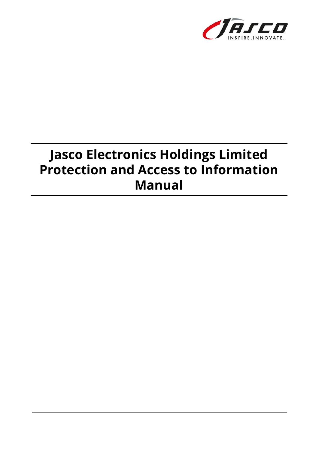

# **Jasco Electronics Holdings Limited Protection and Access to Information Manual**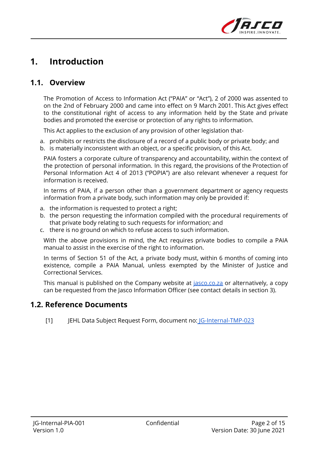

## **1. Introduction**

#### **1.1. Overview**

The Promotion of Access to Information Act ("PAIA" or "Act"), 2 of 2000 was assented to on the 2nd of February 2000 and came into effect on 9 March 2001. This Act gives effect to the constitutional right of access to any information held by the State and private bodies and promoted the exercise or protection of any rights to information.

This Act applies to the exclusion of any provision of other legislation that-

a. prohibits or restricts the disclosure of a record of a public body or private body; and

b. is materially inconsistent with an object, or a specific provision, of this Act.

PAIA fosters a corporate culture of transparency and accountability, within the context of the protection of personal information. In this regard, the provisions of the Protection of Personal Information Act 4 of 2013 ("POPIA") are also relevant whenever a request for information is received.

In terms of PAIA, if a person other than a government department or agency requests information from a private body, such information may only be provided if:

- a. the information is requested to protect a right;
- b. the person requesting the information compiled with the procedural requirements of that private body relating to such requests for information; and
- c. there is no ground on which to refuse access to such information.

With the above provisions in mind, the Act requires private bodies to compile a PAIA manual to assist in the exercise of the right to information.

In terms of Section 51 of the Act, a private body must, within 6 months of coming into existence, compile a PAIA Manual, unless exempted by the Minister of Justice and Correctional Services.

This manual is published on the Company website at *[jasco.co.za](http://jasco.co.za)* or alternatively, a copy can be requested from the Jasco Information Officer (see contact details in section 3).

#### **1.2. Reference Documents**

[1] JEHL Data Subject Request Form, document no: [JG-Internal-TMP-023](https://docs.google.com/document/d/1prSqrbvVJToFwTRINKVHAJR-Zwyeaec8NecHOWkhPFo/edit?usp=sharing)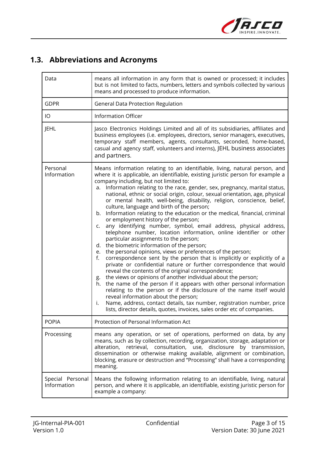

### **1.3. Abbreviations and Acronyms**

| Data                            | means all information in any form that is owned or processed; it includes<br>but is not limited to facts, numbers, letters and symbols collected by various<br>means and processed to produce information.                                                                                                                                                                                                                                                                                                                                                                                                                                                                                                                                                                                                                                                                                                                                                                                                                                                                                                                                                                                                                                                                                                                                                                                                                                                                                                                                                                           |  |
|---------------------------------|--------------------------------------------------------------------------------------------------------------------------------------------------------------------------------------------------------------------------------------------------------------------------------------------------------------------------------------------------------------------------------------------------------------------------------------------------------------------------------------------------------------------------------------------------------------------------------------------------------------------------------------------------------------------------------------------------------------------------------------------------------------------------------------------------------------------------------------------------------------------------------------------------------------------------------------------------------------------------------------------------------------------------------------------------------------------------------------------------------------------------------------------------------------------------------------------------------------------------------------------------------------------------------------------------------------------------------------------------------------------------------------------------------------------------------------------------------------------------------------------------------------------------------------------------------------------------------------|--|
| <b>GDPR</b>                     | General Data Protection Regulation                                                                                                                                                                                                                                                                                                                                                                                                                                                                                                                                                                                                                                                                                                                                                                                                                                                                                                                                                                                                                                                                                                                                                                                                                                                                                                                                                                                                                                                                                                                                                   |  |
| IO                              | <b>Information Officer</b>                                                                                                                                                                                                                                                                                                                                                                                                                                                                                                                                                                                                                                                                                                                                                                                                                                                                                                                                                                                                                                                                                                                                                                                                                                                                                                                                                                                                                                                                                                                                                           |  |
| <b>JEHL</b>                     | Jasco Electronics Holdings Limited and all of its subsidiaries, affiliates and<br>business employees (i.e. employees, directors, senior managers, executives,<br>temporary staff members, agents, consultants, seconded, home-based,<br>casual and agency staff, volunteers and interns), JEHL business associates<br>and partners.                                                                                                                                                                                                                                                                                                                                                                                                                                                                                                                                                                                                                                                                                                                                                                                                                                                                                                                                                                                                                                                                                                                                                                                                                                                  |  |
| Personal<br>Information         | Means information relating to an identifiable, living, natural person, and<br>where it is applicable, an identifiable, existing juristic person for example a<br>company including, but not limited to:<br>Information relating to the race, gender, sex, pregnancy, marital status,<br>а.<br>national, ethnic or social origin, colour, sexual orientation, age, physical<br>or mental health, well-being, disability, religion, conscience, belief,<br>culture, language and birth of the person;<br>b. Information relating to the education or the medical, financial, criminal<br>or employment history of the person;<br>any identifying number, symbol, email address, physical address,<br>C.<br>telephone number, location information, online identifier or other<br>particular assignments to the person;<br>d. the biometric information of the person;<br>the personal opinions, views or preferences of the person;<br>e.<br>correspondence sent by the person that is implicitly or explicitly of a<br>f.<br>private or confidential nature or further correspondence that would<br>reveal the contents of the original correspondence;<br>the views or opinions of another individual about the person;<br>g.<br>h. the name of the person if it appears with other personal information<br>relating to the person or if the disclosure of the name itself would<br>reveal information about the person;<br>Name, address, contact details, tax number, registration number, price<br>i.<br>lists, director details, quotes, invoices, sales order etc of companies. |  |
| <b>POPIA</b>                    | Protection of Personal Information Act                                                                                                                                                                                                                                                                                                                                                                                                                                                                                                                                                                                                                                                                                                                                                                                                                                                                                                                                                                                                                                                                                                                                                                                                                                                                                                                                                                                                                                                                                                                                               |  |
| Processing                      | means any operation, or set of operations, performed on data, by any<br>means, such as by collection, recording, organization, storage, adaptation or<br>alteration, retrieval, consultation, use, disclosure by transmission,<br>dissemination or otherwise making available, alignment or combination,<br>blocking, erasure or destruction and "Processing" shall have a corresponding<br>meaning.                                                                                                                                                                                                                                                                                                                                                                                                                                                                                                                                                                                                                                                                                                                                                                                                                                                                                                                                                                                                                                                                                                                                                                                 |  |
| Special Personal<br>Information | Means the following information relating to an identifiable, living, natural<br>person, and where it is applicable, an identifiable, existing juristic person for<br>example a company:                                                                                                                                                                                                                                                                                                                                                                                                                                                                                                                                                                                                                                                                                                                                                                                                                                                                                                                                                                                                                                                                                                                                                                                                                                                                                                                                                                                              |  |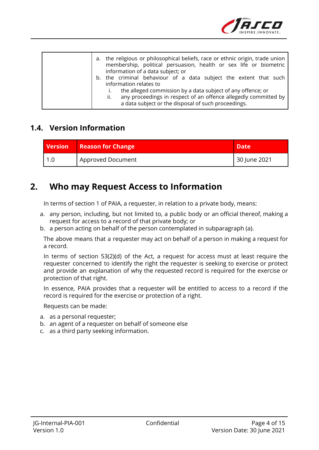

| a. the religious or philosophical beliefs, race or ethnic origin, trade union<br>membership, political persuasion, health or sex life or biometric<br>information of a data subject; or<br>b. the criminal behaviour of a data subject the extent that such<br>information relates to<br>the alleged commission by a data subject of any offence; or<br>any proceedings in respect of an offence allegedly committed by<br>ii.<br>a data subject or the disposal of such proceedings. |
|---------------------------------------------------------------------------------------------------------------------------------------------------------------------------------------------------------------------------------------------------------------------------------------------------------------------------------------------------------------------------------------------------------------------------------------------------------------------------------------|
|---------------------------------------------------------------------------------------------------------------------------------------------------------------------------------------------------------------------------------------------------------------------------------------------------------------------------------------------------------------------------------------------------------------------------------------------------------------------------------------|

#### **1.4. Version Information**

| <b>Version Reason for Change</b> | <b>Date</b>  |
|----------------------------------|--------------|
| Approved Document                | 30 June 2021 |

### **2. Who may Request Access to Information**

In terms of section 1 of PAIA, a requester, in relation to a private body, means:

- a. any person, including, but not limited to, a public body or an official thereof, making a request for access to a record of that private body; or
- b. a person acting on behalf of the person contemplated in subparagraph (a).

The above means that a requester may act on behalf of a person in making a request for a record.

In terms of section 53(2)(d) of the Act, a request for access must at least require the requester concerned to identify the right the requester is seeking to exercise or protect and provide an explanation of why the requested record is required for the exercise or protection of that right.

In essence, PAIA provides that a requester will be entitled to access to a record if the record is required for the exercise or protection of a right.

Requests can be made:

- a. as a personal requester;
- b. an agent of a requester on behalf of someone else
- c. as a third party seeking information.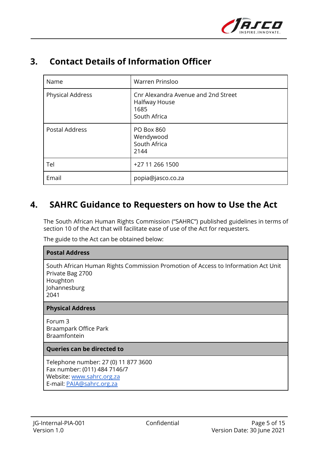

### **3. Contact Details of Information Officer**

| Name                    | <b>Warren Prinsloo</b>                                                       |
|-------------------------|------------------------------------------------------------------------------|
| <b>Physical Address</b> | Cnr Alexandra Avenue and 2nd Street<br>Halfway House<br>1685<br>South Africa |
| Postal Address          | <b>PO Box 860</b><br>Wendywood<br>South Africa<br>2144                       |
| Tel                     | +27 11 266 1500                                                              |
| Email                   | popia@jasco.co.za                                                            |

### **4. SAHRC Guidance to Requesters on how to Use the Act**

The South African Human Rights Commission ("SAHRC") published guidelines in terms of section 10 of the Act that will facilitate ease of use of the Act for requesters.

The guide to the Act can be obtained below:

#### **Postal Address**

South African Human Rights Commission Promotion of Access to Information Act Unit Private Bag 2700 Houghton

Johannesburg 2041

#### **Physical Address**

Forum 3 Braampark Office Park Braamfontein

#### **Queries can be directed to**

Telephone number: 27 (0) 11 877 3600 Fax number: (011) 484 7146/7 Website: [www.sahrc.org.za](http://www.sahrc.org.za) E-mail: [PAIA@sahrc.org.za](mailto:PAIA@sahrc.org.za)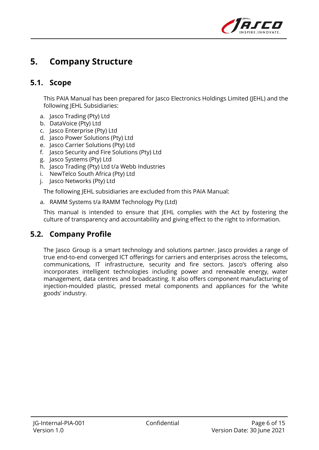

## **5. Company Structure**

#### **5.1. Scope**

This PAIA Manual has been prepared for Jasco Electronics Holdings Limited (JEHL) and the following JEHL Subsidiaries:

- a. Jasco Trading (Pty) Ltd
- b. DataVoice (Pty) Ltd
- c. Jasco Enterprise (Pty) Ltd
- d. Jasco Power Solutions (Pty) Ltd
- e. Jasco Carrier Solutions (Pty) Ltd
- f. Jasco Security and Fire Solutions (Pty) Ltd
- g. Jasco Systems (Pty) Ltd
- h. Jasco Trading (Pty) Ltd t/a Webb Industries
- i. NewTelco South Africa (Pty) Ltd
- j. Jasco Networks (Pty) Ltd

The following JEHL subsidiaries are excluded from this PAIA Manual:

a. RAMM Systems t/a RAMM Technology Pty (Ltd)

This manual is intended to ensure that JEHL complies with the Act by fostering the culture of transparency and accountability and giving effect to the right to information.

#### **5.2. Company Profile**

The Jasco Group is a smart technology and solutions partner. Jasco provides a range of true end-to-end converged ICT offerings for carriers and enterprises across the telecoms, communications, IT infrastructure, security and fire sectors. Jasco's offering also incorporates intelligent technologies including power and renewable energy, water management, data centres and broadcasting. It also offers component manufacturing of injection-moulded plastic, pressed metal components and appliances for the 'white goods' industry.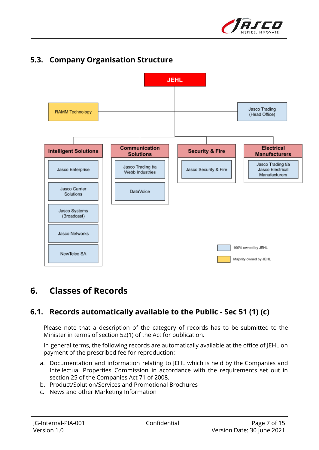



# **5.3. Company Organisation Structure**

# **6. Classes of Records**

### **6.1. Records automatically available to the Public - Sec 51 (1) (c)**

Please note that a description of the category of records has to be submitted to the Minister in terms of section 52(1) of the Act for publication.

In general terms, the following records are automatically available at the office of JEHL on payment of the prescribed fee for reproduction:

- a. Documentation and information relating to JEHL which is held by the Companies and Intellectual Properties Commission in accordance with the requirements set out in section 25 of the Companies Act 71 of 2008.
- b. Product/Solution/Services and Promotional Brochures
- c. News and other Marketing Information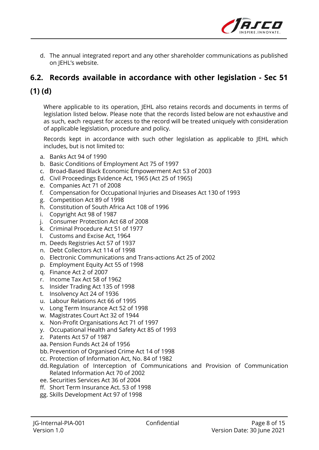

d. The annual integrated report and any other shareholder communications as published on JEHL's website.

### **6.2. Records available in accordance with other legislation - Sec 51**

### **(1) (d)**

Where applicable to its operation, JEHL also retains records and documents in terms of legislation listed below. Please note that the records listed below are not exhaustive and as such, each request for access to the record will be treated uniquely with consideration of applicable legislation, procedure and policy.

Records kept in accordance with such other legislation as applicable to JEHL which includes, but is not limited to:

- a. Banks Act 94 of 1990
- b. Basic Conditions of Employment Act 75 of 1997
- c. Broad-Based Black Economic Empowerment Act 53 of 2003
- d. Civil Proceedings Evidence Act, 1965 (Act 25 of 1965)
- e. Companies Act 71 of 2008
- f. Compensation for Occupational Injuries and Diseases Act 130 of 1993
- g. Competition Act 89 of 1998
- h. Constitution of South Africa Act 108 of 1996
- i. Copyright Act 98 of 1987
- j. Consumer Protection Act 68 of 2008
- k. Criminal Procedure Act 51 of 1977
- l. Customs and Excise Act, 1964
- m. Deeds Registries Act 57 of 1937
- n. Debt Collectors Act 114 of 1998
- o. Electronic Communications and Trans-actions Act 25 of 2002
- p. Employment Equity Act 55 of 1998
- q. Finance Act 2 of 2007
- r. Income Tax Act 58 of 1962
- s. Insider Trading Act 135 of 1998
- t. Insolvency Act 24 of 1936
- u. Labour Relations Act 66 of 1995
- v. Long Term Insurance Act 52 of 1998
- w. Magistrates Court Act 32 of 1944
- x. Non-Profit Organisations Act 71 of 1997
- y. Occupational Health and Safety Act 85 of 1993
- z. Patents Act 57 of 1987
- aa. Pension Funds Act 24 of 1956
- bb.Prevention of Organised Crime Act 14 of 1998
- cc. Protection of Information Act, No. 84 of 1982
- dd.Regulation of Interception of Communications and Provision of Communication Related Information Act 70 of 2002
- ee. Securities Services Act 36 of 2004
- ff. Short Term Insurance Act. 53 of 1998
- gg. Skills Development Act 97 of 1998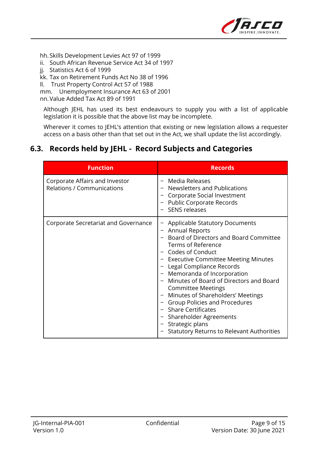

hh. Skills Development Levies Act 97 of 1999

- ii. South African Revenue Service Act 34 of 1997
- jj. Statistics Act 6 of 1999
- kk. Tax on Retirement Funds Act No 38 of 1996
- ll. Trust Property Control Act 57 of 1988

mm. Unemployment Insurance Act 63 of 2001

nn.Value Added Tax Act 89 of 1991

Although JEHL has used its best endeavours to supply you with a list of applicable legislation it is possible that the above list may be incomplete.

Wherever it comes to JEHL's attention that existing or new legislation allows a requester access on a basis other than that set out in the Act, we shall update the list accordingly.

### **6.3. Records held by JEHL - Record Subjects and Categories**

| <b>Function</b>                                                     | <b>Records</b>                                                                                                                                                                                                                                                                                                                                                                                                                                                                                                                                   |  |
|---------------------------------------------------------------------|--------------------------------------------------------------------------------------------------------------------------------------------------------------------------------------------------------------------------------------------------------------------------------------------------------------------------------------------------------------------------------------------------------------------------------------------------------------------------------------------------------------------------------------------------|--|
| Corporate Affairs and Investor<br><b>Relations / Communications</b> | Media Releases<br><b>Newsletters and Publications</b><br>Corporate Social Investment<br><b>Public Corporate Records</b><br><b>SENS releases</b>                                                                                                                                                                                                                                                                                                                                                                                                  |  |
| Corporate Secretariat and Governance                                | <b>Applicable Statutory Documents</b><br>- Annual Reports<br>- Board of Directors and Board Committee<br><b>Terms of Reference</b><br>Codes of Conduct<br>- Executive Committee Meeting Minutes<br>Legal Compliance Records<br>- Memoranda of Incorporation<br>Minutes of Board of Directors and Board<br><b>Committee Meetings</b><br>- Minutes of Shareholders' Meetings<br><b>Group Policies and Procedures</b><br><b>Share Certificates</b><br>Shareholder Agreements<br>Strategic plans<br><b>Statutory Returns to Relevant Authorities</b> |  |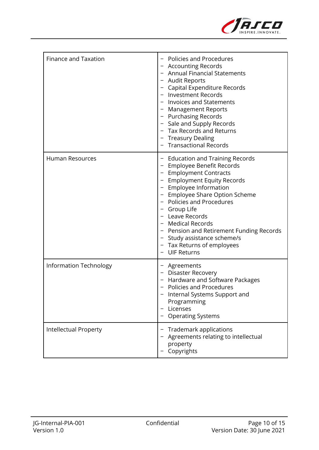

| Finance and Taxation          | <b>Policies and Procedures</b><br>- Accounting Records<br>- Annual Financial Statements<br>- Audit Reports<br>- Capital Expenditure Records<br>- Investment Records<br>- Invoices and Statements<br>- Management Reports<br>- Purchasing Records<br>- Sale and Supply Records<br>- Tax Records and Returns<br>- Treasury Dealing<br><b>Transactional Records</b>                                        |
|-------------------------------|---------------------------------------------------------------------------------------------------------------------------------------------------------------------------------------------------------------------------------------------------------------------------------------------------------------------------------------------------------------------------------------------------------|
| <b>Human Resources</b>        | - Education and Training Records<br>- Employee Benefit Records<br>- Employment Contracts<br>- Employment Equity Records<br>- Employee Information<br>- Employee Share Option Scheme<br>- Policies and Procedures<br>- Group Life<br>- Leave Records<br>- Medical Records<br>- Pension and Retirement Funding Records<br>- Study assistance scheme/s<br>- Tax Returns of employees<br><b>UIF Returns</b> |
| <b>Information Technology</b> | - Agreements<br>- Disaster Recovery<br>Hardware and Software Packages<br>- Policies and Procedures<br>Internal Systems Support and<br>Programming<br>Licenses<br><b>Operating Systems</b>                                                                                                                                                                                                               |
| <b>Intellectual Property</b>  | Trademark applications<br>Agreements relating to intellectual<br>property<br>Copyrights                                                                                                                                                                                                                                                                                                                 |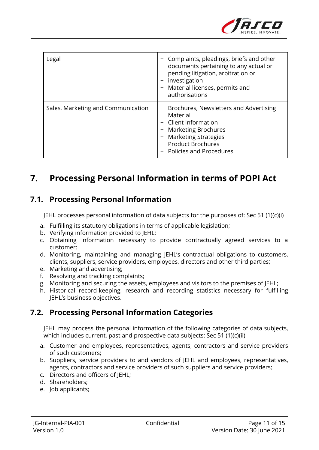

| Legal                              | Complaints, pleadings, briefs and other<br>documents pertaining to any actual or<br>pending litigation, arbitration or<br>investigation<br>Material licenses, permits and<br>authorisations         |  |
|------------------------------------|-----------------------------------------------------------------------------------------------------------------------------------------------------------------------------------------------------|--|
| Sales, Marketing and Communication | Brochures, Newsletters and Advertising<br>Material<br>Client Information<br><b>Marketing Brochures</b><br><b>Marketing Strategies</b><br><b>Product Brochures</b><br><b>Policies and Procedures</b> |  |

## **7. Processing Personal Information in terms of POPI Act**

#### **7.1. Processing Personal Information**

JEHL processes personal information of data subjects for the purposes of: Sec 51 (1)(c)(i)

- a. Fulfilling its statutory obligations in terms of applicable legislation;
- b. Verifying information provided to JEHL;
- c. Obtaining information necessary to provide contractually agreed services to a customer;
- d. Monitoring, maintaining and managing JEHL's contractual obligations to customers, clients, suppliers, service providers, employees, directors and other third parties;
- e. Marketing and advertising;
- f. Resolving and tracking complaints;
- g. Monitoring and securing the assets, employees and visitors to the premises of JEHL;
- h. Historical record-keeping, research and recording statistics necessary for fulfilling JEHL's business objectives.

#### **7.2. Processing Personal Information Categories**

JEHL may process the personal information of the following categories of data subjects, which includes current, past and prospective data subjects: Sec 51 (1)(c)(ii)

- a. Customer and employees, representatives, agents, contractors and service providers of such customers;
- b. Suppliers, service providers to and vendors of JEHL and employees, representatives, agents, contractors and service providers of such suppliers and service providers;
- c. Directors and officers of JEHL;
- d. Shareholders;
- e. Job applicants;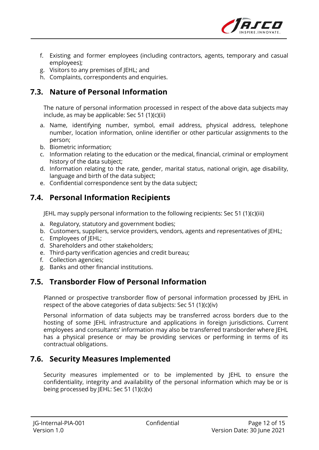

- f. Existing and former employees (including contractors, agents, temporary and casual employees);
- g. Visitors to any premises of JEHL; and
- h. Complaints, correspondents and enquiries.

### **7.3. Nature of Personal Information**

The nature of personal information processed in respect of the above data subjects may include, as may be applicable: Sec 51 (1)(c)(ii)

- a. Name, identifying number, symbol, email address, physical address, telephone number, location information, online identifier or other particular assignments to the person;
- b. Biometric information;
- c. Information relating to the education or the medical, financial, criminal or employment history of the data subject;
- d. Information relating to the rate, gender, marital status, national origin, age disability, language and birth of the data subject;
- e. Confidential correspondence sent by the data subject;

### **7.4. Personal Information Recipients**

JEHL may supply personal information to the following recipients: Sec 51 (1)(c)(iii)

- a. Regulatory, statutory and government bodies;
- b. Customers, suppliers, service providers, vendors, agents and representatives of JEHL;
- c. Employees of JEHL;
- d. Shareholders and other stakeholders;
- e. Third-party verification agencies and credit bureau;
- f. Collection agencies;
- g. Banks and other financial institutions.

### **7.5. Transborder Flow of Personal Information**

Planned or prospective transborder flow of personal information processed by JEHL in respect of the above categories of data subjects: Sec 51 (1)(c)(iv)

Personal information of data subjects may be transferred across borders due to the hosting of some JEHL infrastructure and applications in foreign jurisdictions. Current employees and consultants' information may also be transferred transborder where JEHL has a physical presence or may be providing services or performing in terms of its contractual obligations.

### **7.6. Security Measures Implemented**

Security measures implemented or to be implemented by JEHL to ensure the confidentiality, integrity and availability of the personal information which may be or is being processed by JEHL: Sec 51 (1)(c)(v)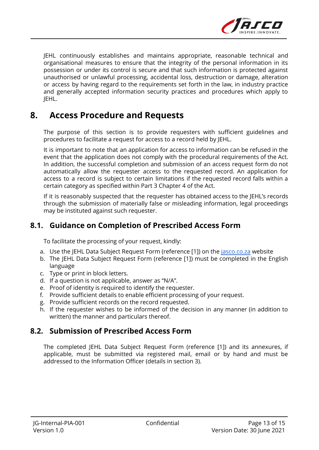

JEHL continuously establishes and maintains appropriate, reasonable technical and organisational measures to ensure that the integrity of the personal information in its possession or under its control is secure and that such information is protected against unauthorised or unlawful processing, accidental loss, destruction or damage, alteration or access by having regard to the requirements set forth in the law, in industry practice and generally accepted information security practices and procedures which apply to JEHL.

### **8. Access Procedure and Requests**

The purpose of this section is to provide requesters with sufficient guidelines and procedures to facilitate a request for access to a record held by JEHL.

It is important to note that an application for access to information can be refused in the event that the application does not comply with the procedural requirements of the Act. In addition, the successful completion and submission of an access request form do not automatically allow the requester access to the requested record. An application for access to a record is subject to certain limitations if the requested record falls within a certain category as specified within Part 3 Chapter 4 of the Act.

If it is reasonably suspected that the requester has obtained access to the JEHL's records through the submission of materially false or misleading information, legal proceedings may be instituted against such requester.

#### **8.1. Guidance on Completion of Prescribed Access Form**

To facilitate the processing of your request, kindly:

- a. Use the JEHL Data Subject Request Form (reference [1]) on the [jasco.co.za](https://www.jasco.co.za/) website
- b. The JEHL Data Subject Request Form (reference [1]) must be completed in the English language
- c. Type or print in block letters.
- d. If a question is not applicable, answer as "N/A".
- e. Proof of identity is required to identify the requester.
- f. Provide sufficient details to enable efficient processing of your request.
- g. Provide sufficient records on the record requested.
- h. If the requester wishes to be informed of the decision in any manner (in addition to written) the manner and particulars thereof.

#### **8.2. Submission of Prescribed Access Form**

The completed JEHL Data Subject Request Form (reference [1]) and its annexures, if applicable, must be submitted via registered mail, email or by hand and must be addressed to the Information Officer (details in section 3).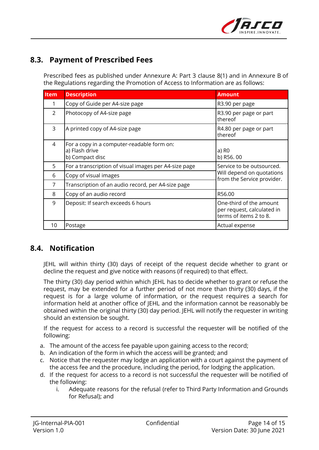

#### **8.3. Payment of Prescribed Fees**

Prescribed fees as published under Annexure A: Part 3 clause 8(1) and in Annexure B of the Regulations regarding the Promotion of Access to Information are as follows:

| <b>Item</b> | <b>Description</b>                                                              | <b>Amount</b>                                                                        |  |
|-------------|---------------------------------------------------------------------------------|--------------------------------------------------------------------------------------|--|
| 1           | Copy of Guide per A4-size page                                                  | R3.90 per page                                                                       |  |
| 2           | Photocopy of A4-size page                                                       | R3.90 per page or part<br>thereof                                                    |  |
| 3           | A printed copy of A4-size page                                                  | R4.80 per page or part<br>thereof                                                    |  |
| 4           | For a copy in a computer-readable form on:<br>a) Flash drive<br>b) Compact disc | a) R <sub>0</sub><br>b) R56.00                                                       |  |
| 5           | For a transcription of visual images per A4-size page                           | Service to be outsourced.<br>Will depend on quotations<br>from the Service provider. |  |
| 6           | Copy of visual images                                                           |                                                                                      |  |
| 7           | Transcription of an audio record, per A4-size page                              |                                                                                      |  |
| 8           | Copy of an audio record                                                         | R56.00                                                                               |  |
| 9           | Deposit: If search exceeds 6 hours                                              | One-third of the amount<br>per request, calculated in<br>terms of items 2 to 8.      |  |
| 10          | Postage                                                                         | Actual expense                                                                       |  |

#### **8.4. Notification**

JEHL will within thirty (30) days of receipt of the request decide whether to grant or decline the request and give notice with reasons (if required) to that effect.

The thirty (30) day period within which JEHL has to decide whether to grant or refuse the request, may be extended for a further period of not more than thirty (30) days, if the request is for a large volume of information, or the request requires a search for information held at another office of JEHL and the information cannot be reasonably be obtained within the original thirty (30) day period. JEHL will notify the requester in writing should an extension be sought.

If the request for access to a record is successful the requester will be notified of the following:

- a. The amount of the access fee payable upon gaining access to the record;
- b. An indication of the form in which the access will be granted; and
- c. Notice that the requester may lodge an application with a court against the payment of the access fee and the procedure, including the period, for lodging the application.
- d. If the request for access to a record is not successful the requester will be notified of the following:
	- i. Adequate reasons for the refusal (refer to Third Party Information and Grounds for Refusal); and